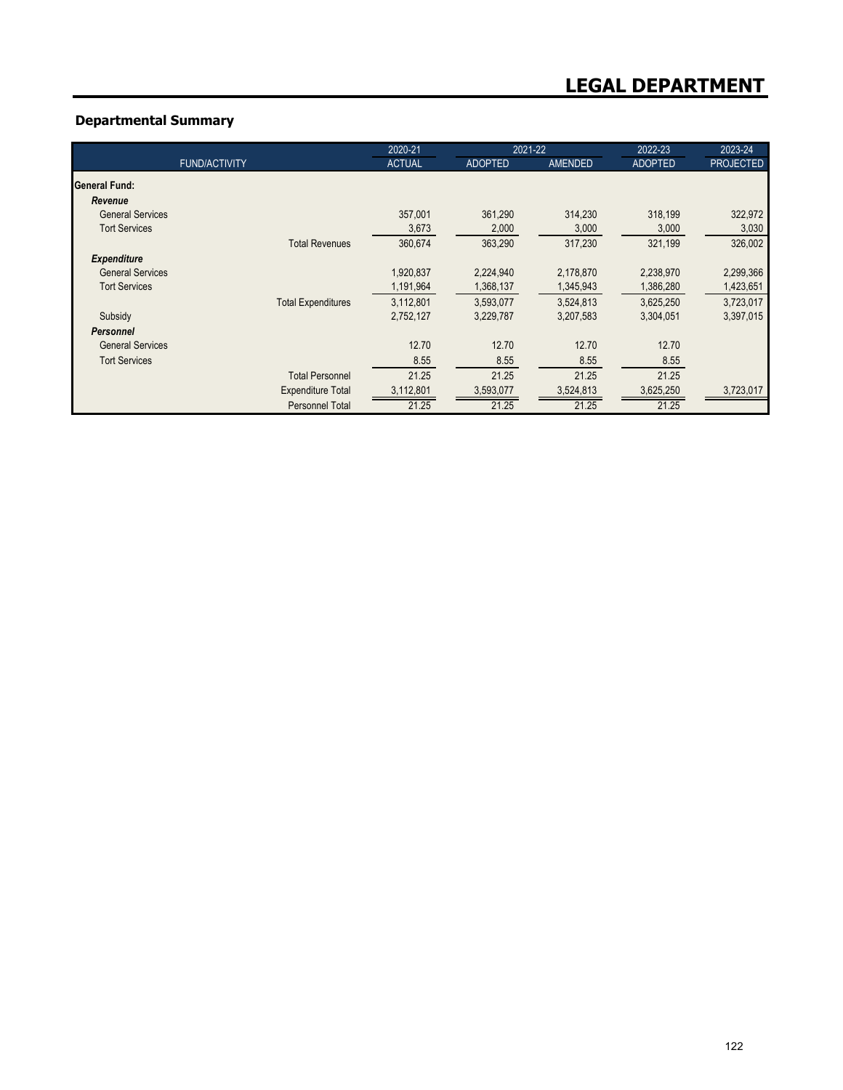## **Departmental Summary**

|                         |                           | 2020-21       | 2021-22        |                | 2022-23        | 2023-24          |
|-------------------------|---------------------------|---------------|----------------|----------------|----------------|------------------|
|                         | <b>FUND/ACTIVITY</b>      | <b>ACTUAL</b> | <b>ADOPTED</b> | <b>AMENDED</b> | <b>ADOPTED</b> | <b>PROJECTED</b> |
| <b>General Fund:</b>    |                           |               |                |                |                |                  |
| Revenue                 |                           |               |                |                |                |                  |
| <b>General Services</b> |                           | 357,001       | 361,290        | 314,230        | 318,199        | 322,972          |
| <b>Tort Services</b>    |                           | 3,673         | 2,000          | 3,000          | 3,000          | 3,030            |
|                         | <b>Total Revenues</b>     | 360,674       | 363,290        | 317,230        | 321,199        | 326,002          |
| <b>Expenditure</b>      |                           |               |                |                |                |                  |
| <b>General Services</b> |                           | 1,920,837     | 2,224,940      | 2,178,870      | 2,238,970      | 2,299,366        |
| <b>Tort Services</b>    |                           | 1,191,964     | 1,368,137      | 1,345,943      | 1,386,280      | 1,423,651        |
|                         | <b>Total Expenditures</b> | 3,112,801     | 3,593,077      | 3,524,813      | 3,625,250      | 3,723,017        |
| Subsidy                 |                           | 2,752,127     | 3,229,787      | 3,207,583      | 3,304,051      | 3,397,015        |
| <b>Personnel</b>        |                           |               |                |                |                |                  |
| <b>General Services</b> |                           | 12.70         | 12.70          | 12.70          | 12.70          |                  |
| <b>Tort Services</b>    |                           | 8.55          | 8.55           | 8.55           | 8.55           |                  |
|                         | <b>Total Personnel</b>    | 21.25         | 21.25          | 21.25          | 21.25          |                  |
|                         | <b>Expenditure Total</b>  | 3,112,801     | 3,593,077      | 3,524,813      | 3,625,250      | 3,723,017        |
|                         | Personnel Total           | 21.25         | 21.25          | 21.25          | 21.25          |                  |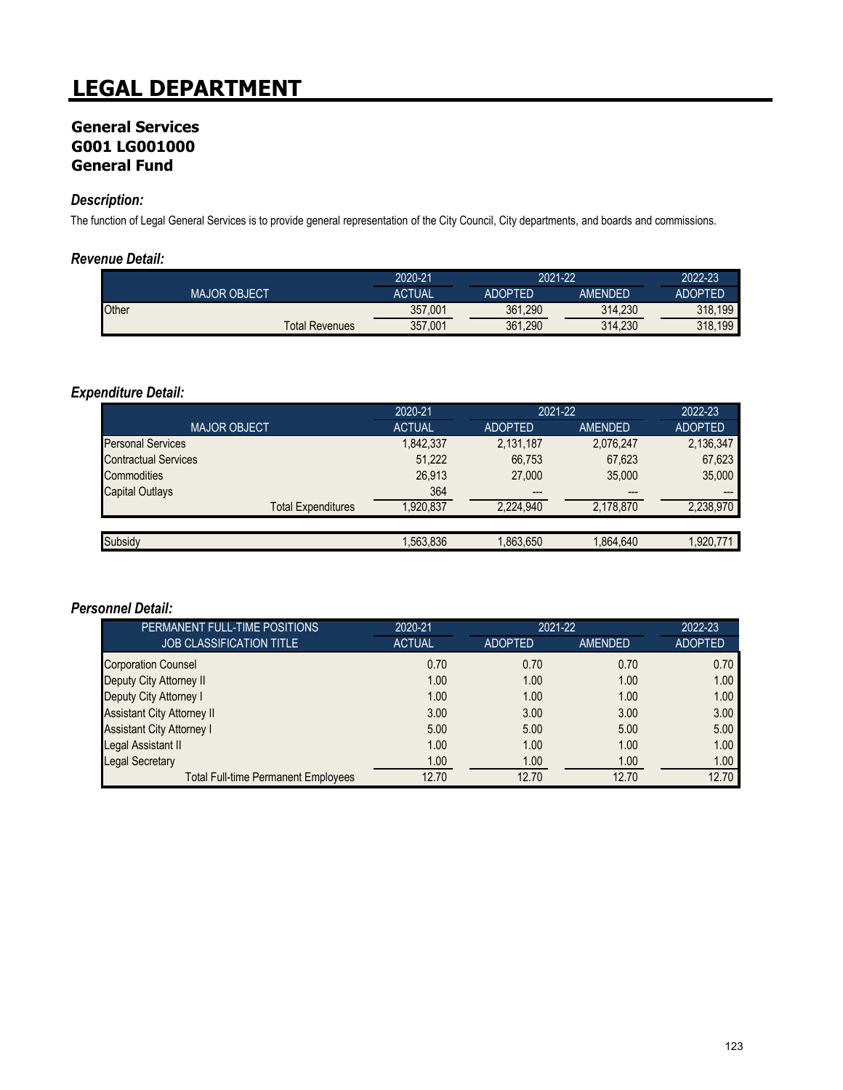# **LEGAL DEPARTMENT**

## **General Services G001 LG001000 General Fund**

## *Description:*

The function of Legal General Services is to provide general representation of the City Council, City departments, and boards and commissions.

#### *Revenue Detail:*

|                     |                       | 2020-21       | 2021-22        |                | 2022-23        |
|---------------------|-----------------------|---------------|----------------|----------------|----------------|
| <b>MAJOR OBJECT</b> |                       | <b>ACTUAL</b> | <b>ADOPTED</b> | <b>AMENDED</b> | <b>ADOPTED</b> |
| <b>Other</b>        |                       | 357,001       | 361,290        | 314.230        | 318.199        |
|                     | <b>Total Revenues</b> | 357,001       | 361,290        | 314,230        | 318,199        |

## *Expenditure Detail:*

|                             | 2020-21       | 2021-22        |                | 2022-23        |
|-----------------------------|---------------|----------------|----------------|----------------|
| <b>MAJOR OBJECT</b>         | <b>ACTUAL</b> | <b>ADOPTED</b> | <b>AMENDED</b> | <b>ADOPTED</b> |
| <b>Personal Services</b>    | 1,842,337     | 2,131,187      | 2,076,247      | 2,136,347      |
| <b>Contractual Services</b> | 51,222        | 66,753         | 67,623         | 67,623         |
| Commodities                 | 26,913        | 27,000         | 35,000         | 35,000         |
| <b>Capital Outlays</b>      | 364           | $---$          | ---            | $---$          |
| <b>Total Expenditures</b>   | 1.920.837     | 2,224,940      | 2,178,870      | 2,238,970      |
|                             |               |                |                |                |
| Subsidy                     | 1,563,836     | 1,863,650      | 1,864,640      | 1,920,771      |

#### *Personnel Detail:*

| PERMANENT FULL-TIME POSITIONS              | 2020-21       | 2021-22        |         | 2022-23        |
|--------------------------------------------|---------------|----------------|---------|----------------|
| <b>JOB CLASSIFICATION TITLE</b>            | <b>ACTUAL</b> | <b>ADOPTED</b> | AMENDED | <b>ADOPTED</b> |
| <b>Corporation Counsel</b>                 | 0.70          | 0.70           | 0.70    | 0.70           |
| Deputy City Attorney II                    | 1.00          | 1.00           | 1.00    | 1.00           |
| Deputy City Attorney I                     | 1.00          | 1.00           | 1.00    | 1.00           |
| <b>Assistant City Attorney II</b>          | 3.00          | 3.00           | 3.00    | 3.00           |
| <b>Assistant City Attorney I</b>           | 5.00          | 5.00           | 5.00    | 5.00           |
| Legal Assistant II                         | 1.00          | 1.00           | 1.00    | 1.00           |
| <b>Legal Secretary</b>                     | 1.00          | 1.00           | 1.00    | 1.00           |
| <b>Total Full-time Permanent Employees</b> | 12.70         | 12.70          | 12.70   | 12.70          |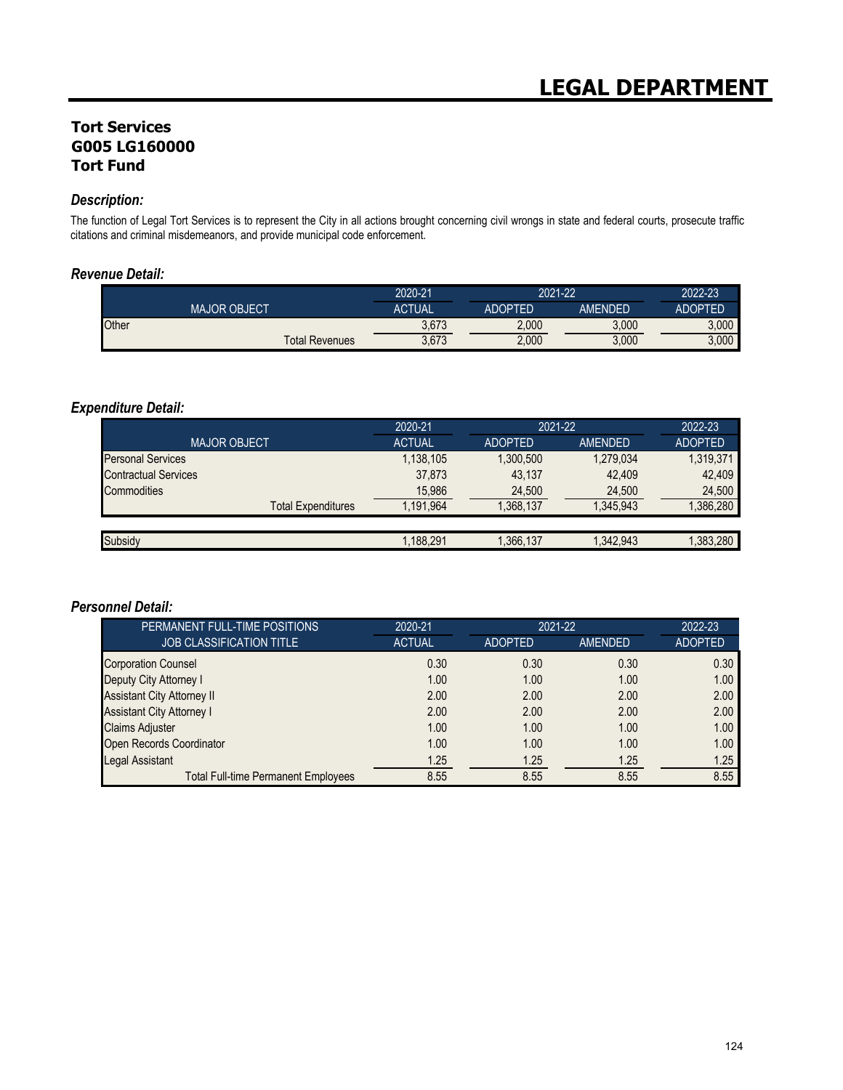## **Tort Services G005 LG160000 Tort Fund**

#### *Description:*

The function of Legal Tort Services is to represent the City in all actions brought concerning civil wrongs in state and federal courts, prosecute traffic citations and criminal misdemeanors, and provide municipal code enforcement.

#### *Revenue Detail:*

|                     |                       | 2020-21       | 2021-22        |         | 2022-23            |
|---------------------|-----------------------|---------------|----------------|---------|--------------------|
| <b>MAJOR OBJECT</b> |                       | <b>ACTUAL</b> | <b>ADOPTED</b> | AMENDED | ADOPTED            |
| Other               |                       | 3,673         | 2.000          | 3,000   | 3.000 <sub>1</sub> |
|                     | <b>Total Revenues</b> | 3,673         | 2,000          | 3,000   | 3.000              |

### *Expenditure Detail:*

|                             | 2020-21       | 2021-22        |           | 2022-23        |
|-----------------------------|---------------|----------------|-----------|----------------|
| <b>MAJOR OBJECT</b>         | <b>ACTUAL</b> | <b>ADOPTED</b> | AMENDED   | <b>ADOPTED</b> |
| <b>Personal Services</b>    | 1,138,105     | 1.300.500      | 1,279,034 | 1,319,371      |
| <b>Contractual Services</b> | 37,873        | 43.137         | 42.409    | 42,409         |
| Commodities                 | 15,986        | 24,500         | 24,500    | 24,500         |
| <b>Total Expenditures</b>   | 1.191.964     | 1.368.137      | 1.345.943 | ,386,280       |
|                             |               |                |           |                |
| Subsidy                     | 1.188.291     | 1,366,137      | 1,342,943 | ,383,280       |

#### *Personnel Detail:*

| PERMANENT FULL-TIME POSITIONS              | 2020-21       | 2021-22        |                | 2022-23        |
|--------------------------------------------|---------------|----------------|----------------|----------------|
| <b>JOB CLASSIFICATION TITLE</b>            | <b>ACTUAL</b> | <b>ADOPTED</b> | <b>AMENDED</b> | <b>ADOPTED</b> |
| <b>Corporation Counsel</b>                 | 0.30          | 0.30           | 0.30           | 0.30           |
| Deputy City Attorney I                     | 1.00          | 1.00           | 1.00           | 1.00           |
| <b>Assistant City Attorney II</b>          | 2.00          | 2.00           | 2.00           | 2.00           |
| <b>Assistant City Attorney I</b>           | 2.00          | 2.00           | 2.00           | 2.00           |
| <b>Claims Adjuster</b>                     | 1.00          | 1.00           | 1.00           | 1.00           |
| Open Records Coordinator                   | 1.00          | 1.00           | 1.00           | 1.00           |
| <b>Legal Assistant</b>                     | 1.25          | 1.25           | 1.25           | 1.25           |
| <b>Total Full-time Permanent Employees</b> | 8.55          | 8.55           | 8.55           | 8.55           |